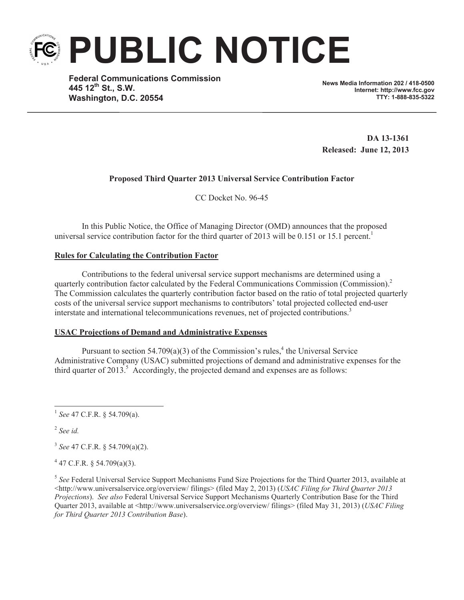**PUBLIC NOTICE**

**Federal Communications Commission 445 12th St., S.W. Washington, D.C. 20554**

**News Media Information 202 / 418-0500 Internet: http://www.fcc.gov TTY: 1-888-835-5322**

**DA 13-1361 Released: June 12, 2013**

# **Proposed Third Quarter 2013 Universal Service Contribution Factor**

CC Docket No. 96-45

In this Public Notice, the Office of Managing Director (OMD) announces that the proposed universal service contribution factor for the third quarter of 2013 will be 0.151 or 15.1 percent.<sup>1</sup>

## **Rules for Calculating the Contribution Factor**

Contributions to the federal universal service support mechanisms are determined using a quarterly contribution factor calculated by the Federal Communications Commission (Commission).<sup>2</sup> The Commission calculates the quarterly contribution factor based on the ratio of total projected quarterly costs of the universal service support mechanisms to contributors' total projected collected end-user interstate and international telecommunications revenues, net of projected contributions.<sup>3</sup>

## **USAC Projections of Demand and Administrative Expenses**

Pursuant to section  $54.709(a)(3)$  of the Commission's rules,<sup>4</sup> the Universal Service Administrative Company (USAC) submitted projections of demand and administrative expenses for the third quarter of 2013.<sup>5</sup> Accordingly, the projected demand and expenses are as follows:

2 *See id.*

3 *See* 47 C.F.R. § 54.709(a)(2).

 $4$  47 C.F.R. § 54.709(a)(3).

<sup>5</sup> See Federal Universal Service Support Mechanisms Fund Size Projections for the Third Quarter 2013, available at <http://www.universalservice.org/overview/ filings> (filed May 2, 2013) (*USAC Filing for Third Quarter 2013 Projections*). *See also* Federal Universal Service Support Mechanisms Quarterly Contribution Base for the Third Quarter 2013, available at <http://www.universalservice.org/overview/ filings> (filed May 31, 2013) (*USAC Filing for Third Quarter 2013 Contribution Base*).

<sup>1</sup> *See* 47 C.F.R. § 54.709(a).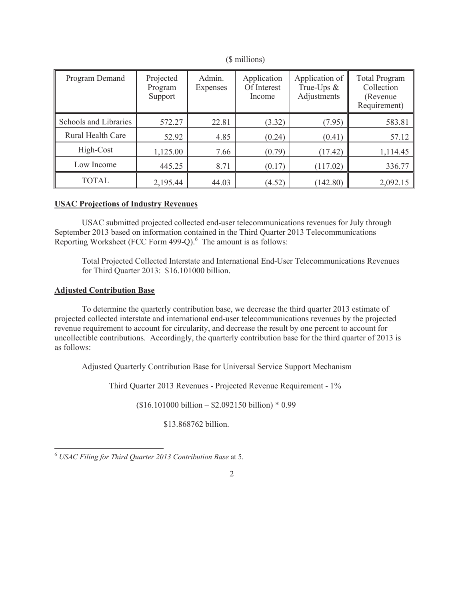| Program Demand        | Projected<br>Program<br>Support | Admin.<br>Expenses | Application<br>Of Interest<br>Income | Application of<br>True-Ups $&$<br>Adjustments | <b>Total Program</b><br>Collection<br>(Revenue)<br>Requirement) |
|-----------------------|---------------------------------|--------------------|--------------------------------------|-----------------------------------------------|-----------------------------------------------------------------|
| Schools and Libraries | 572.27                          | 22.81              | (3.32)                               | (7.95)                                        | 583.81                                                          |
| Rural Health Care     | 52.92                           | 4.85               | (0.24)                               | (0.41)                                        | 57.12                                                           |
| High-Cost             | 1,125.00                        | 7.66               | (0.79)                               | (17.42)                                       | 1,114.45                                                        |
| Low Income            | 445.25                          | 8.71               | (0.17)                               | (117.02)                                      | 336.77                                                          |
| <b>TOTAL</b>          | 2,195.44                        | 44.03              | (4.52)                               | (142.80)                                      | 2,092.15                                                        |

(\$ millions)

## **USAC Projections of Industry Revenues**

USAC submitted projected collected end-user telecommunications revenues for July through September 2013 based on information contained in the Third Quarter 2013 Telecommunications Reporting Worksheet (FCC Form  $499-Q$ ).<sup>6</sup> The amount is as follows:

Total Projected Collected Interstate and International End-User Telecommunications Revenues for Third Quarter 2013: \$16.101000 billion.

## **Adjusted Contribution Base**

To determine the quarterly contribution base, we decrease the third quarter 2013 estimate of projected collected interstate and international end-user telecommunications revenues by the projected revenue requirement to account for circularity, and decrease the result by one percent to account for uncollectible contributions. Accordingly, the quarterly contribution base for the third quarter of 2013 is as follows:

Adjusted Quarterly Contribution Base for Universal Service Support Mechanism

Third Quarter 2013 Revenues - Projected Revenue Requirement - 1%

2

 $($16.101000 billion - $2.092150 billion) * 0.99$ 

\$13.868762 billion.

<sup>6</sup> *USAC Filing for Third Quarter 2013 Contribution Base* at 5.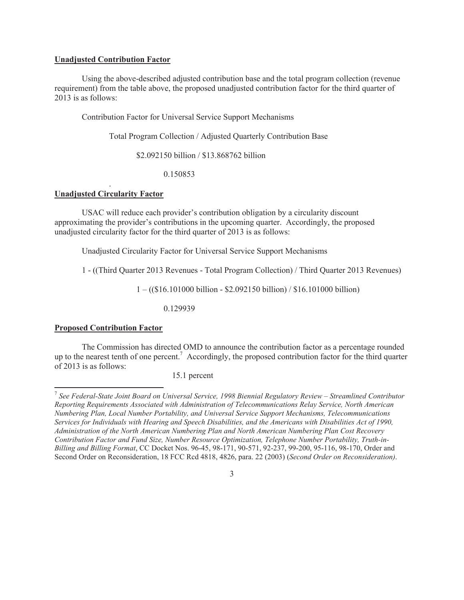### **Unadjusted Contribution Factor**

Using the above-described adjusted contribution base and the total program collection (revenue requirement) from the table above, the proposed unadjusted contribution factor for the third quarter of 2013 is as follows:

Contribution Factor for Universal Service Support Mechanisms

Total Program Collection / Adjusted Quarterly Contribution Base

\$2.092150 billion / \$13.868762 billion

0.150853

### . **Unadjusted Circularity Factor**

USAC will reduce each provider's contribution obligation by a circularity discount approximating the provider's contributions in the upcoming quarter. Accordingly, the proposed unadjusted circularity factor for the third quarter of 2013 is as follows:

Unadjusted Circularity Factor for Universal Service Support Mechanisms

1 - ((Third Quarter 2013 Revenues - Total Program Collection) / Third Quarter 2013 Revenues)

 $1 - (($16.101000 billion - $2.092150 billion) / $16.101000 billion)$ 

0.129939

#### **Proposed Contribution Factor**

The Commission has directed OMD to announce the contribution factor as a percentage rounded up to the nearest tenth of one percent.<sup>7</sup> Accordingly, the proposed contribution factor for the third quarter of 2013 is as follows:

15.1 percent

<sup>7</sup> *See Federal-State Joint Board on Universal Service, 1998 Biennial Regulatory Review – Streamlined Contributor Reporting Requirements Associated with Administration of Telecommunications Relay Service, North American Numbering Plan, Local Number Portability, and Universal Service Support Mechanisms, Telecommunications Services for Individuals with Hearing and Speech Disabilities, and the Americans with Disabilities Act of 1990, Administration of the North American Numbering Plan and North American Numbering Plan Cost Recovery Contribution Factor and Fund Size, Number Resource Optimization, Telephone Number Portability, Truth-in-Billing and Billing Format*, CC Docket Nos. 96-45, 98-171, 90-571, 92-237, 99-200, 95-116, 98-170, Order and Second Order on Reconsideration, 18 FCC Rcd 4818, 4826, para. 22 (2003) (*Second Order on Reconsideration)*.

<sup>3</sup>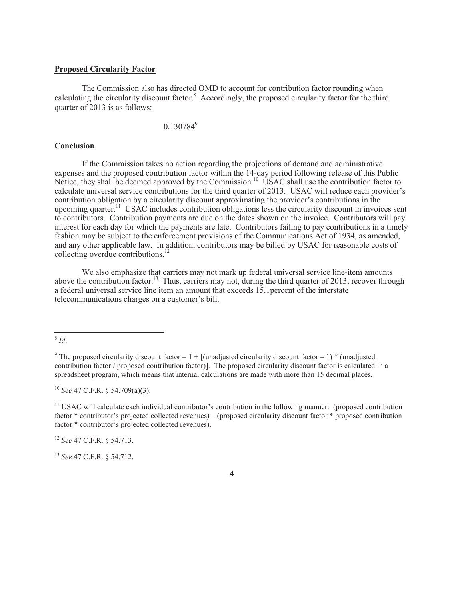### **Proposed Circularity Factor**

The Commission also has directed OMD to account for contribution factor rounding when calculating the circularity discount factor.<sup>8</sup> Accordingly, the proposed circularity factor for the third quarter of 2013 is as follows:

0.130784<sup>9</sup>

#### **Conclusion**

If the Commission takes no action regarding the projections of demand and administrative expenses and the proposed contribution factor within the 14-day period following release of this Public Notice, they shall be deemed approved by the Commission.<sup>10</sup> USAC shall use the contribution factor to calculate universal service contributions for the third quarter of 2013. USAC will reduce each provider's contribution obligation by a circularity discount approximating the provider's contributions in the upcoming quarter.<sup>11</sup> USAC includes contribution obligations less the circularity discount in invoices sent to contributors. Contribution payments are due on the dates shown on the invoice. Contributors will pay interest for each day for which the payments are late. Contributors failing to pay contributions in a timely fashion may be subject to the enforcement provisions of the Communications Act of 1934, as amended, and any other applicable law. In addition, contributors may be billed by USAC for reasonable costs of collecting overdue contributions.<sup>12</sup>

We also emphasize that carriers may not mark up federal universal service line-item amounts above the contribution factor.<sup>13</sup> Thus, carriers may not, during the third quarter of 2013, recover through a federal universal service line item an amount that exceeds 15.1percent of the interstate telecommunications charges on a customer's bill.

<sup>10</sup> *See* 47 C.F.R. § 54.709(a)(3).

<sup>11</sup> USAC will calculate each individual contributor's contribution in the following manner: (proposed contribution factor \* contributor's projected collected revenues) – (proposed circularity discount factor \* proposed contribution factor \* contributor's projected collected revenues).

<sup>12</sup> *See* 47 C.F.R. § 54.713.

<sup>13</sup> *See* 47 C.F.R. § 54.712.

4

<sup>8</sup> *Id*.

<sup>&</sup>lt;sup>9</sup> The proposed circularity discount factor =  $1 +$  [(unadjusted circularity discount factor – 1) \* (unadjusted contribution factor / proposed contribution factor)]. The proposed circularity discount factor is calculated in a spreadsheet program, which means that internal calculations are made with more than 15 decimal places.